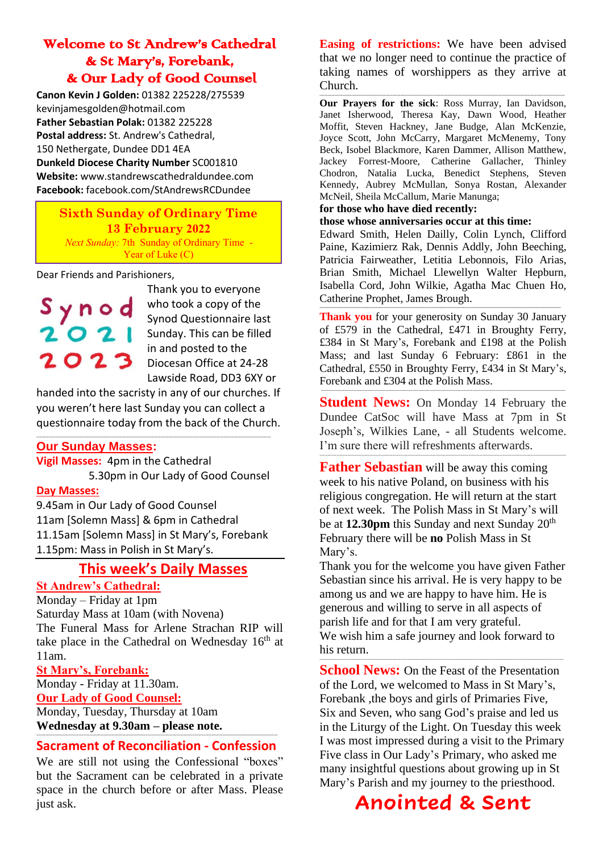# Welcome to St Andrew's Cathedral & St Mary's, Forebank, & Our Lady of Good Counsel

**Canon Kevin J Golden:** 01382 225228/275539 kevinjamesgolden@hotmail.com **Father Sebastian Polak:** 01382 225228 **Postal address:** St. Andrew's Cathedral, 150 Nethergate, Dundee DD1 4EA **Dunkeld Diocese Charity Number** SC001810 **Website:** www.standrewscathedraldundee.com **Facebook:** facebook.com/StAndrewsRCDundee

### **Sixth Sunday of Ordinary Time 13 February 2022** *Next Sunday:* 7th Sunday of Ordinary Time - Year of Luke (C)

Dear Friends and Parishioners,



Thank you to everyone who took a copy of the Synod Questionnaire last Sunday. This can be filled in and posted to the Diocesan Office at 24-28 Lawside Road, DD3 6XY or

handed into the sacristy in any of our churches. If you weren't here last Sunday you can collect a questionnaire today from the back of the Church.

#### **------------------------------------------------------------------------------------------------------------------------------------------------------------------------------ Our Sunday Masses:**

**Vigil Masses:** 4pm in the Cathedral 5.30pm in Our Lady of Good Counsel

### **Day Masses:**

9.45am in Our Lady of Good Counsel 11am [Solemn Mass] & 6pm in Cathedral 11.15am [Solemn Mass] in St Mary's, Forebank 1.15pm: Mass in Polish in St Mary's.

# **This week's Daily Masses**

# **St Andrew's Cathedral:**

Monday – Friday at 1pm

Saturday Mass at 10am (with Novena) The Funeral Mass for Arlene Strachan RIP will take place in the Cathedral on Wednesday  $16<sup>th</sup>$  at 11am.

**St Mary's, Forebank:**

Monday - Friday at 11.30am. **Our Lady of Good Counsel:** Monday, Tuesday, Thursday at 10am **Wednesday at 9.30am – please note.**

#### **----------------------------------------------------------------------------------------------------------------------------------------------------------------------------------- Sacrament of Reconciliation - Confession**

We are still not using the Confessional "boxes" but the Sacrament can be celebrated in a private space in the church before or after Mass. Please just ask.

**Easing of restrictions:** We have been advised that we no longer need to continue the practice of taking names of worshippers as they arrive at Church.

**-------------------------------------------------------------------------------------------------------------------------------------------------------------------------------------- Our Prayers for the sick**: Ross Murray, Ian Davidson, Janet Isherwood, Theresa Kay, Dawn Wood, Heather Moffit, Steven Hackney, Jane Budge, Alan McKenzie, Joyce Scott, John McCarry, Margaret McMenemy, Tony Beck, Isobel Blackmore, Karen Dammer, Allison Matthew, Jackey Forrest-Moore, Catherine Gallacher, Thinley Chodron, Natalia Lucka, Benedict Stephens, Steven Kennedy, Aubrey McMullan, Sonya Rostan, Alexander McNeil, Sheila McCallum, Marie Manunga;

#### **for those who have died recently:**

#### **those whose anniversaries occur at this time:**

Edward Smith, Helen Dailly, Colin Lynch, Clifford Paine, Kazimierz Rak, Dennis Addly, John Beeching, Patricia Fairweather, Letitia Lebonnois, Filo Arias, Brian Smith, Michael Llewellyn Walter Hepburn, Isabella Cord, John Wilkie, Agatha Mac Chuen Ho, Catherine Prophet, James Brough.

-----------------------------------------------------------------------------------------------------------------------------------------------

Thank you for your generosity on Sunday 30 January of £579 in the Cathedral, £471 in Broughty Ferry, £384 in St Mary's, Forebank and £198 at the Polish Mass; and last Sunday 6 February: £861 in the Cathedral, £550 in Broughty Ferry, £434 in St Mary's, Forebank and £304 at the Polish Mass.

**Student News:** On Monday 14 February the Dundee CatSoc will have Mass at 7pm in St Joseph's, Wilkies Lane, - all Students welcome. I'm sure there will refreshments afterwards.

---------------------------------------------------------------------------------------------------------------------------------------------------------------

--------------------------------------------------------------------------------------------------------------------------------------------------------------

**Father Sebastian** will be away this coming week to his native Poland, on business with his religious congregation. He will return at the start of next week. The Polish Mass in St Mary's will be at **12.30pm** this Sunday and next Sunday 20<sup>th</sup> February there will be **no** Polish Mass in St Mary's.

Thank you for the welcome you have given Father Sebastian since his arrival. He is very happy to be among us and we are happy to have him. He is generous and willing to serve in all aspects of parish life and for that I am very grateful. We wish him a safe journey and look forward to his return.

-------------------------------------------------------------------------------------------------------------------------------------------------------------------------------------

**School News:** On the Feast of the Presentation of the Lord, we welcomed to Mass in St Mary's, Forebank ,the boys and girls of Primaries Five, Six and Seven, who sang God's praise and led us in the Liturgy of the Light. On Tuesday this week I was most impressed during a visit to the Primary Five class in Our Lady's Primary, who asked me many insightful questions about growing up in St Mary's Parish and my journey to the priesthood.

# **Anointed & Sent**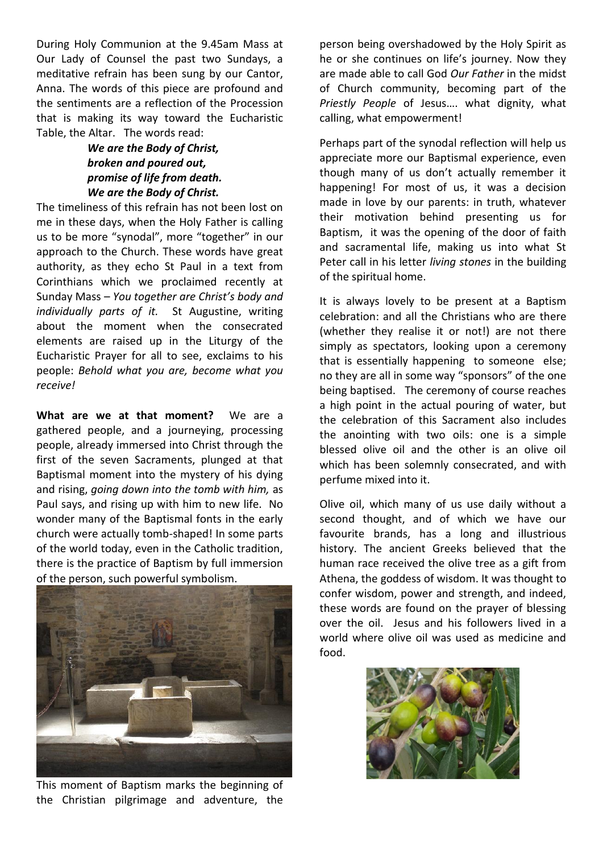During Holy Communion at the 9.45am Mass at Our Lady of Counsel the past two Sundays, a meditative refrain has been sung by our Cantor, Anna. The words of this piece are profound and the sentiments are a reflection of the Procession that is making its way toward the Eucharistic Table, the Altar. The words read:

## *We are the Body of Christ, broken and poured out, promise of life from death. We are the Body of Christ.*

The timeliness of this refrain has not been lost on me in these days, when the Holy Father is calling us to be more "synodal", more "together" in our approach to the Church. These words have great authority, as they echo St Paul in a text from Corinthians which we proclaimed recently at Sunday Mass – *You together are Christ's body and individually parts of it.* St Augustine, writing about the moment when the consecrated elements are raised up in the Liturgy of the Eucharistic Prayer for all to see, exclaims to his people: *Behold what you are, become what you receive!*

**What are we at that moment?** We are a gathered people, and a journeying, processing people, already immersed into Christ through the first of the seven Sacraments, plunged at that Baptismal moment into the mystery of his dying and rising, *going down into the tomb with him,* as Paul says, and rising up with him to new life. No wonder many of the Baptismal fonts in the early church were actually tomb-shaped! In some parts of the world today, even in the Catholic tradition, there is the practice of Baptism by full immersion of the person, such powerful symbolism.



This moment of Baptism marks the beginning of the Christian pilgrimage and adventure, the

person being overshadowed by the Holy Spirit as he or she continues on life's journey. Now they are made able to call God *Our Father* in the midst of Church community, becoming part of the *Priestly People* of Jesus…. what dignity, what calling, what empowerment!

Perhaps part of the synodal reflection will help us appreciate more our Baptismal experience, even though many of us don't actually remember it happening! For most of us, it was a decision made in love by our parents: in truth, whatever their motivation behind presenting us for Baptism, it was the opening of the door of faith and sacramental life, making us into what St Peter call in his letter *living stones* in the building of the spiritual home.

It is always lovely to be present at a Baptism celebration: and all the Christians who are there (whether they realise it or not!) are not there simply as spectators, looking upon a ceremony that is essentially happening to someone else; no they are all in some way "sponsors" of the one being baptised. The ceremony of course reaches a high point in the actual pouring of water, but the celebration of this Sacrament also includes the anointing with two oils: one is a simple blessed olive oil and the other is an olive oil which has been solemnly consecrated, and with perfume mixed into it.

Olive oil, which many of us use daily without a second thought, and of which we have our favourite brands, has a long and illustrious history. The ancient Greeks believed that the human race received the olive tree as a gift from Athena, the goddess of wisdom. It was thought to confer wisdom, power and strength, and indeed, these words are found on the prayer of blessing over the oil. Jesus and his followers lived in a world where olive oil was used as medicine and food.

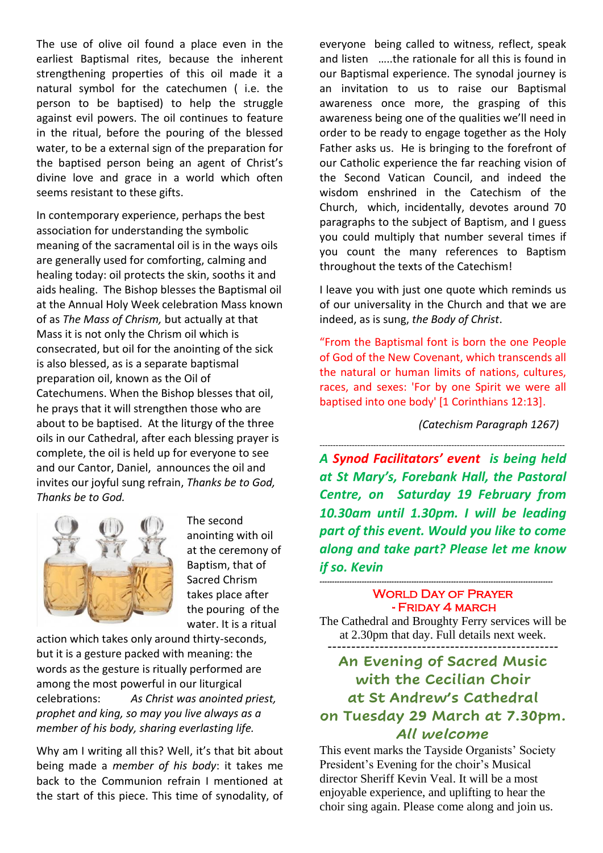The use of olive oil found a place even in the earliest Baptismal rites, because the inherent strengthening properties of this oil made it a natural symbol for the catechumen ( i.e. the person to be baptised) to help the struggle against evil powers. The oil continues to feature in the ritual, before the pouring of the blessed water, to be a external sign of the preparation for the baptised person being an agent of Christ's divine love and grace in a world which often seems resistant to these gifts.

In contemporary experience, perhaps the best association for understanding the symbolic meaning of the sacramental oil is in the ways oils are generally used for comforting, calming and healing today: oil protects the skin, sooths it and aids healing. The Bishop blesses the Baptismal oil at the Annual Holy Week celebration Mass known of as *The Mass of Chrism,* but actually at that Mass it is not only the Chrism oil which is consecrated, but oil for the anointing of the sick is also blessed, as is a separate baptismal preparation oil, known as the Oil of Catechumens. When the Bishop blesses that oil, he prays that it will strengthen those who are about to be baptised. At the liturgy of the three oils in our Cathedral, after each blessing prayer is complete, the oil is held up for everyone to see and our Cantor, Daniel, announces the oil and invites our joyful sung refrain, *Thanks be to God, Thanks be to God.*



The second anointing with oil at the ceremony of Baptism, that of Sacred Chrism takes place after the pouring of the water. It is a ritual

action which takes only around thirty-seconds, but it is a gesture packed with meaning: the words as the gesture is ritually performed are among the most powerful in our liturgical celebrations: *As Christ was anointed priest, prophet and king, so may you live always as a member of his body, sharing everlasting life.*

Why am I writing all this? Well, it's that bit about being made a *member of his body*: it takes me back to the Communion refrain I mentioned at the start of this piece. This time of synodality, of everyone being called to witness, reflect, speak and listen …..the rationale for all this is found in our Baptismal experience. The synodal journey is an invitation to us to raise our Baptismal awareness once more, the grasping of this awareness being one of the qualities we'll need in order to be ready to engage together as the Holy Father asks us. He is bringing to the forefront of our Catholic experience the far reaching vision of the Second Vatican Council, and indeed the wisdom enshrined in the Catechism of the Church, which, incidentally, devotes around 70 paragraphs to the subject of Baptism, and I guess you could multiply that number several times if you count the many references to Baptism throughout the texts of the Catechism!

I leave you with just one quote which reminds us of our universality in the Church and that we are indeed, as is sung, *the Body of Christ*.

"From the Baptismal font is born the one People of God of the New Covenant, which transcends all the natural or human limits of nations, cultures, races, and sexes: 'For by one Spirit we were all baptised into one body' [1 Corinthians 12:13].

 *(Catechism Paragraph 1267)*

------------------------------------------------------------------------------------------- *A Synod Facilitators' event is being held at St Mary's, Forebank Hall, the Pastoral Centre, on Saturday 19 February from 10.30am until 1.30pm. I will be leading part of this event. Would you like to come along and take part? Please let me know if so. Kevin*

### WORLD DAY OF PRAYER - Friday 4 march

*----------------------------------------------------------------------------------------------*

The Cathedral and Broughty Ferry services will be at 2.30pm that day. Full details next week. **-------------------------------------------------**

# **An Evening of Sacred Music with the Cecilian Choir at St Andrew's Cathedral on Tuesday 29 March at 7.30pm.** *All welcome*

This event marks the Tayside Organists' Society President's Evening for the choir's Musical director Sheriff Kevin Veal. It will be a most enjoyable experience, and uplifting to hear the choir sing again. Please come along and join us.